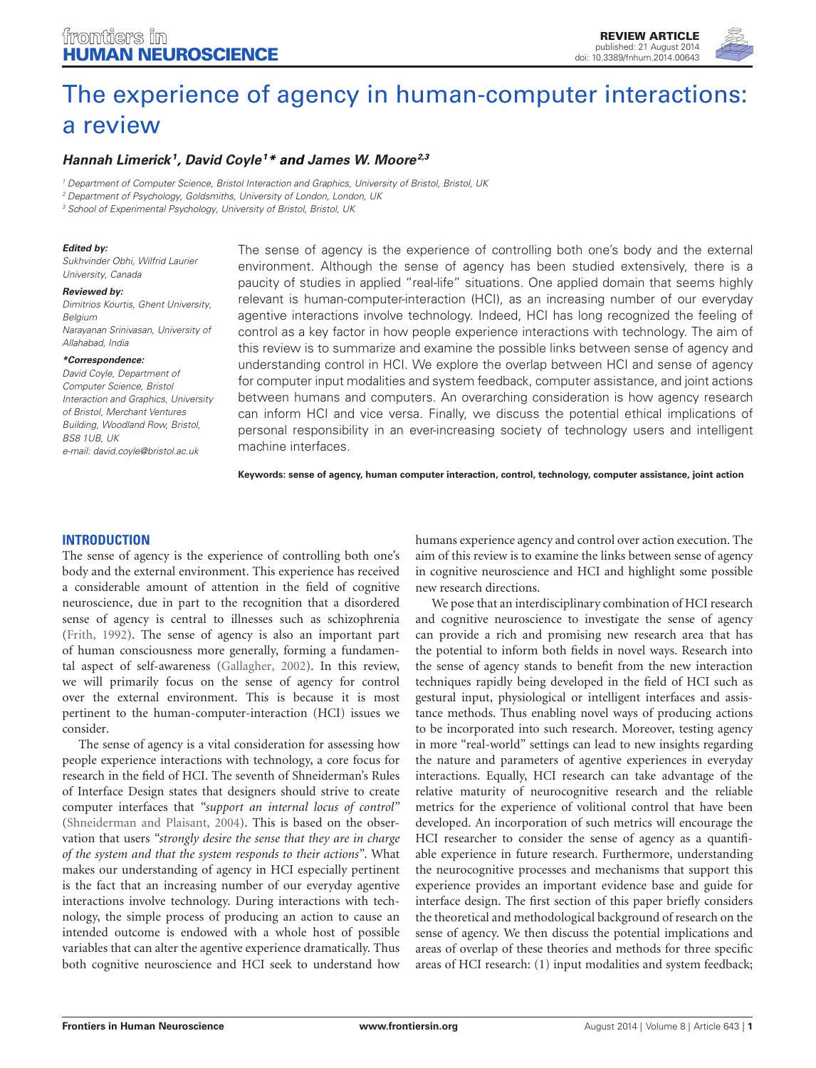# frontiers in [HUMAN NEUROSCIENCE](http://www.frontiersin.org/Human_Neuroscience)

[REVIEW ARTICLE](http://www.frontiersin.org/Human_Neuroscience/editorialboard) [published: 21 August 2014](http://www.frontiersin.org/Human_Neuroscience/editorialboard) [doi: 10.3389/fnhum.2014.00643](http://www.frontiersin.org/Human_Neuroscience/editorialboard)



## **[Hannah Limerick](http://community.frontiersin.org/people/u/132444)<sup>1</sup> , [David Coyle](http://community.frontiersin.org/people/u/154458)<sup>1</sup>\* and [James W. Moore](http://community.frontiersin.org/people/u/15903)2,3**

<sup>1</sup> Department of Computer Science, Bristol Interaction and Graphics, University of Bristol, Bristol, UK

<sup>2</sup> Department of Psychology, Goldsmiths, University of London, London, UK

<sup>3</sup> School of Experimental Psychology, University of Bristol, Bristol, UK

#### **Edited by:**

Sukhvinder Obhi, Wilfrid Laurier University, Canada

#### **Reviewed by:**

Dimitrios Kourtis, Ghent University, Belgium Narayanan Srinivasan, University of Allahabad, India

#### **\*Correspondence:**

David Coyle, Department of Computer Science, Bristol Interaction and Graphics, University of Bristol, Merchant Ventures Building, Woodland Row, Bristol, BS8 1UB, UK e-mail: [david.coyle@bristol.ac.uk](mailto:david.coyle@bristol.ac.uk)

The sense of agency is the experience of controlling both one's body and the external environment. Although the sense of agency has been studied extensively, there is a paucity of studies in applied "real-life" situations. One applied domain that seems highly relevant is human-computer-interaction (HCI), as an increasing number of our everyday agentive interactions involve technology. Indeed, HCI has long recognized the feeling of control as a key factor in how people experience interactions with technology. The aim of this review is to summarize and examine the possible links between sense of agency and understanding control in HCI. We explore the overlap between HCI and sense of agency for computer input modalities and system feedback, computer assistance, and joint actions between humans and computers. An overarching consideration is how agency research can inform HCI and vice versa. Finally, we discuss the potential ethical implications of personal responsibility in an ever-increasing society of technology users and intelligent machine interfaces.

**Keywords: sense of agency, human computer interaction, control, technology, computer assistance, joint action**

#### **INTRODUCTION**

The sense of agency is the experience of controlling both one's body and the external environment. This experience has received a considerable amount of attention in the field of cognitive neuroscience, due in part to the recognition that a disordered sense of agency is central to illnesses such as schizophrenia [\(Frith, 1992\)](#page-8-0). The sense of agency is also an important part of human consciousness more generally, forming a fundamental aspect of self-awareness [\(Gallagher, 2002\)](#page-8-1). In this review, we will primarily focus on the sense of agency for control over the external environment. This is because it is most pertinent to the human-computer-interaction (HCI) issues we consider.

The sense of agency is a vital consideration for assessing how people experience interactions with technology, a core focus for research in the field of HCI. The seventh of Shneiderman's Rules of Interface Design states that designers should strive to create computer interfaces that *"support an internal locus of control"* [\(Shneiderman and Plaisant, 2004\)](#page-9-0). This is based on the observation that users *"strongly desire the sense that they are in charge of the system and that the system responds to their actions"*. What makes our understanding of agency in HCI especially pertinent is the fact that an increasing number of our everyday agentive interactions involve technology. During interactions with technology, the simple process of producing an action to cause an intended outcome is endowed with a whole host of possible variables that can alter the agentive experience dramatically. Thus both cognitive neuroscience and HCI seek to understand how

humans experience agency and control over action execution. The aim of this review is to examine the links between sense of agency in cognitive neuroscience and HCI and highlight some possible new research directions.

We pose that an interdisciplinary combination of HCI research and cognitive neuroscience to investigate the sense of agency can provide a rich and promising new research area that has the potential to inform both fields in novel ways. Research into the sense of agency stands to benefit from the new interaction techniques rapidly being developed in the field of HCI such as gestural input, physiological or intelligent interfaces and assistance methods. Thus enabling novel ways of producing actions to be incorporated into such research. Moreover, testing agency in more "real-world" settings can lead to new insights regarding the nature and parameters of agentive experiences in everyday interactions. Equally, HCI research can take advantage of the relative maturity of neurocognitive research and the reliable metrics for the experience of volitional control that have been developed. An incorporation of such metrics will encourage the HCI researcher to consider the sense of agency as a quantifiable experience in future research. Furthermore, understanding the neurocognitive processes and mechanisms that support this experience provides an important evidence base and guide for interface design. The first section of this paper briefly considers the theoretical and methodological background of research on the sense of agency. We then discuss the potential implications and areas of overlap of these theories and methods for three specific areas of HCI research: (1) input modalities and system feedback;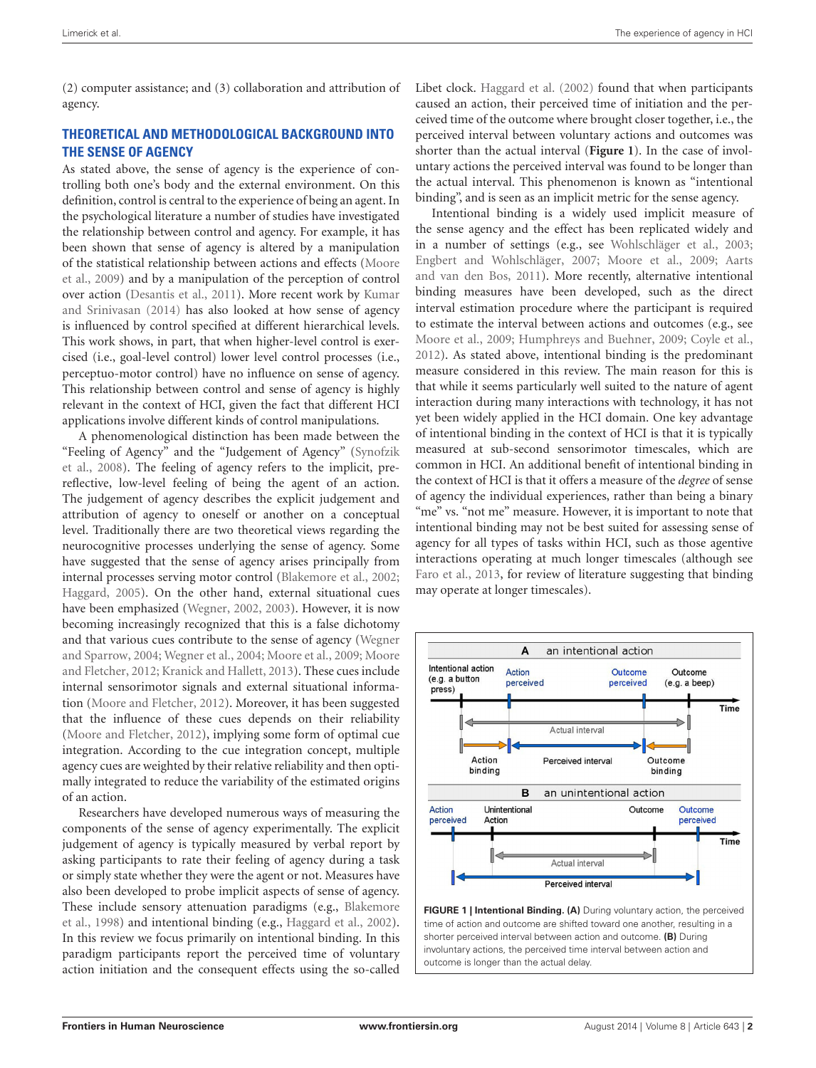(2) computer assistance; and (3) collaboration and attribution of agency.

# **THEORETICAL AND METHODOLOGICAL BACKGROUND INTO THE SENSE OF AGENCY**

As stated above, the sense of agency is the experience of controlling both one's body and the external environment. On this definition, control is central to the experience of being an agent. In the psychological literature a number of studies have investigated the relationship between control and agency. For example, it has been shown that sense of agency is altered by a manipulation of the statistical relationship between actions and effects [\(Moore](#page-9-1) [et al.,](#page-9-1) [2009\)](#page-9-1) and by a manipulation of the perception of control over action [\(Desantis et al.,](#page-8-2) [2011\)](#page-8-2). More recent work by [Kumar](#page-8-3) [and Srinivasan](#page-8-3) [\(2014\)](#page-8-3) has also looked at how sense of agency is influenced by control specified at different hierarchical levels. This work shows, in part, that when higher-level control is exercised (i.e., goal-level control) lower level control processes (i.e., perceptuo-motor control) have no influence on sense of agency. This relationship between control and sense of agency is highly relevant in the context of HCI, given the fact that different HCI applications involve different kinds of control manipulations.

A phenomenological distinction has been made between the "Feeling of Agency" and the "Judgement of Agency" [\(Synofzik](#page-9-2) [et al.,](#page-9-2) [2008\)](#page-9-2). The feeling of agency refers to the implicit, prereflective, low-level feeling of being the agent of an action. The judgement of agency describes the explicit judgement and attribution of agency to oneself or another on a conceptual level. Traditionally there are two theoretical views regarding the neurocognitive processes underlying the sense of agency. Some have suggested that the sense of agency arises principally from internal processes serving motor control [\(Blakemore et al.,](#page-8-4) [2002;](#page-8-4) [Haggard,](#page-8-5) [2005\)](#page-8-5). On the other hand, external situational cues have been emphasized [\(Wegner,](#page-9-3) [2002,](#page-9-3) [2003\)](#page-9-4). However, it is now becoming increasingly recognized that this is a false dichotomy and that various cues contribute to the sense of agency [\(Wegner](#page-9-5) [and Sparrow,](#page-9-5) [2004;](#page-9-5) [Wegner et al.,](#page-9-6) [2004;](#page-9-6) [Moore et al.,](#page-9-1) [2009;](#page-9-1) [Moore](#page-9-7) [and Fletcher,](#page-9-7) [2012;](#page-9-7) [Kranick and Hallett,](#page-8-6) [2013\)](#page-8-6). These cues include internal sensorimotor signals and external situational information [\(Moore and Fletcher,](#page-9-7) [2012\)](#page-9-7). Moreover, it has been suggested that the influence of these cues depends on their reliability [\(Moore and Fletcher,](#page-9-7) [2012\)](#page-9-7), implying some form of optimal cue integration. According to the cue integration concept, multiple agency cues are weighted by their relative reliability and then optimally integrated to reduce the variability of the estimated origins of an action.

Researchers have developed numerous ways of measuring the components of the sense of agency experimentally. The explicit judgement of agency is typically measured by verbal report by asking participants to rate their feeling of agency during a task or simply state whether they were the agent or not. Measures have also been developed to probe implicit aspects of sense of agency. These include sensory attenuation paradigms (e.g., [Blakemore](#page-8-7) [et al.,](#page-8-7) [1998\)](#page-8-7) and intentional binding (e.g., [Haggard et al.,](#page-8-8) [2002\)](#page-8-8). In this review we focus primarily on intentional binding. In this paradigm participants report the perceived time of voluntary action initiation and the consequent effects using the so-called

Libet clock. [Haggard et al.](#page-8-8) [\(2002\)](#page-8-8) found that when participants caused an action, their perceived time of initiation and the perceived time of the outcome where brought closer together, i.e., the perceived interval between voluntary actions and outcomes was shorter than the actual interval (**[Figure 1](#page-1-0)**). In the case of involuntary actions the perceived interval was found to be longer than the actual interval. This phenomenon is known as "intentional binding", and is seen as an implicit metric for the sense agency.

Intentional binding is a widely used implicit measure of the sense agency and the effect has been replicated widely and in a number of settings (e.g., see [Wohlschläger et al.,](#page-9-8) [2003;](#page-9-8) [Engbert and Wohlschläger,](#page-8-9) [2007;](#page-8-9) [Moore et al.,](#page-9-1) [2009;](#page-9-1) [Aarts](#page-8-10) [and van den Bos,](#page-8-10) [2011\)](#page-8-10). More recently, alternative intentional binding measures have been developed, such as the direct interval estimation procedure where the participant is required to estimate the interval between actions and outcomes (e.g., see [Moore et al.,](#page-9-1) [2009;](#page-9-1) [Humphreys and Buehner,](#page-8-11) [2009;](#page-8-11) [Coyle et al.,](#page-8-12) [2012\)](#page-8-12). As stated above, intentional binding is the predominant measure considered in this review. The main reason for this is that while it seems particularly well suited to the nature of agent interaction during many interactions with technology, it has not yet been widely applied in the HCI domain. One key advantage of intentional binding in the context of HCI is that it is typically measured at sub-second sensorimotor timescales, which are common in HCI. An additional benefit of intentional binding in the context of HCI is that it offers a measure of the *degree* of sense of agency the individual experiences, rather than being a binary "me" vs. "not me" measure. However, it is important to note that intentional binding may not be best suited for assessing sense of agency for all types of tasks within HCI, such as those agentive interactions operating at much longer timescales (although see [Faro et al.,](#page-8-13) [2013,](#page-8-13) for review of literature suggesting that binding may operate at longer timescales).



<span id="page-1-0"></span>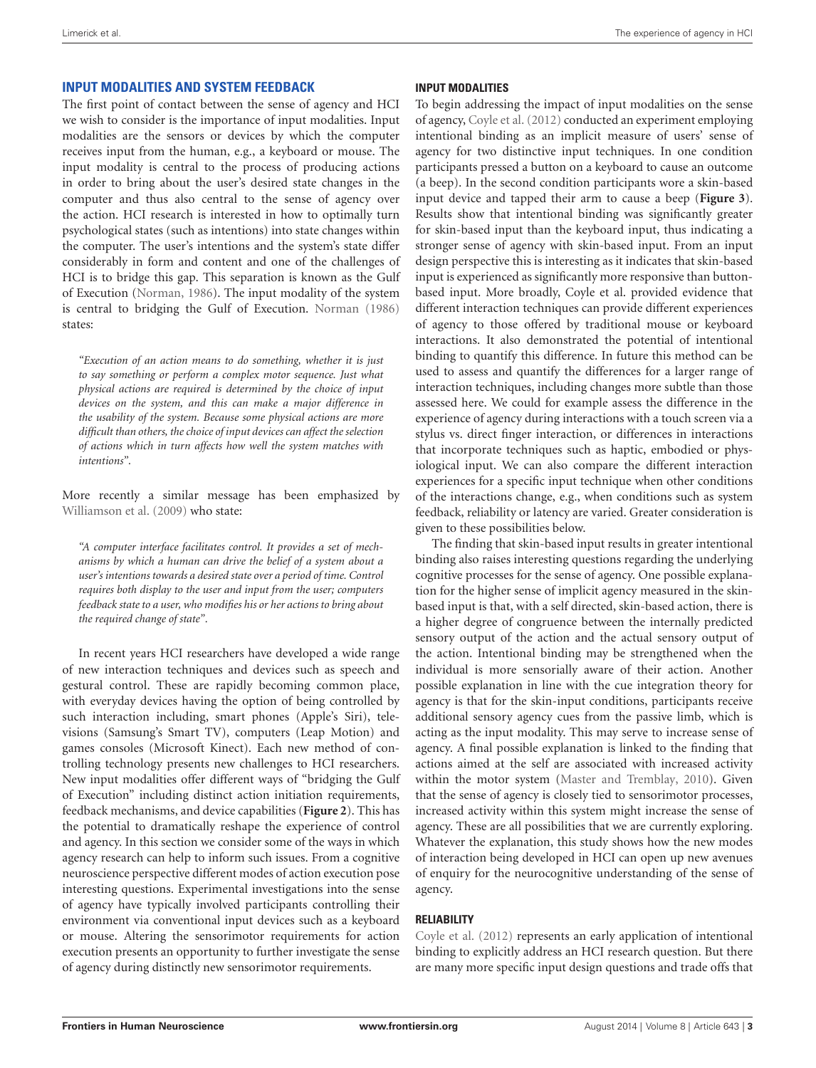### **INPUT MODALITIES AND SYSTEM FEEDBACK**

The first point of contact between the sense of agency and HCI we wish to consider is the importance of input modalities. Input modalities are the sensors or devices by which the computer receives input from the human, e.g., a keyboard or mouse. The input modality is central to the process of producing actions in order to bring about the user's desired state changes in the computer and thus also central to the sense of agency over the action. HCI research is interested in how to optimally turn psychological states (such as intentions) into state changes within the computer. The user's intentions and the system's state differ considerably in form and content and one of the challenges of HCI is to bridge this gap. This separation is known as the Gulf of Execution [\(Norman,](#page-9-9) [1986\)](#page-9-9). The input modality of the system is central to bridging the Gulf of Execution. [Norman](#page-9-9) [\(1986\)](#page-9-9) states:

*"Execution of an action means to do something, whether it is just to say something or perform a complex motor sequence. Just what physical actions are required is determined by the choice of input devices on the system, and this can make a major difference in the usability of the system. Because some physical actions are more difficult than others, the choice of input devices can affect the selection of actions which in turn affects how well the system matches with intentions"*.

More recently a similar message has been emphasized by [Williamson et al.](#page-9-10) [\(2009\)](#page-9-10) who state:

*"A computer interface facilitates control. It provides a set of mechanisms by which a human can drive the belief of a system about a user's intentions towards a desired state over a period of time. Control requires both display to the user and input from the user; computers feedback state to a user, who modifies his or her actions to bring about the required change of state"*.

In recent years HCI researchers have developed a wide range of new interaction techniques and devices such as speech and gestural control. These are rapidly becoming common place, with everyday devices having the option of being controlled by such interaction including, smart phones (Apple's Siri), televisions (Samsung's Smart TV), computers (Leap Motion) and games consoles (Microsoft Kinect). Each new method of controlling technology presents new challenges to HCI researchers. New input modalities offer different ways of "bridging the Gulf of Execution" including distinct action initiation requirements, feedback mechanisms, and device capabilities (**[Figure 2](#page-3-0)**). This has the potential to dramatically reshape the experience of control and agency. In this section we consider some of the ways in which agency research can help to inform such issues. From a cognitive neuroscience perspective different modes of action execution pose interesting questions. Experimental investigations into the sense of agency have typically involved participants controlling their environment via conventional input devices such as a keyboard or mouse. Altering the sensorimotor requirements for action execution presents an opportunity to further investigate the sense of agency during distinctly new sensorimotor requirements.

#### **INPUT MODALITIES**

To begin addressing the impact of input modalities on the sense of agency, [Coyle et al.](#page-8-12) [\(2012\)](#page-8-12) conducted an experiment employing intentional binding as an implicit measure of users' sense of agency for two distinctive input techniques. In one condition participants pressed a button on a keyboard to cause an outcome (a beep). In the second condition participants wore a skin-based input device and tapped their arm to cause a beep (**[Figure 3](#page-3-1)**). Results show that intentional binding was significantly greater for skin-based input than the keyboard input, thus indicating a stronger sense of agency with skin-based input. From an input design perspective this is interesting as it indicates that skin-based input is experienced as significantly more responsive than buttonbased input. More broadly, Coyle et al. provided evidence that different interaction techniques can provide different experiences of agency to those offered by traditional mouse or keyboard interactions. It also demonstrated the potential of intentional binding to quantify this difference. In future this method can be used to assess and quantify the differences for a larger range of interaction techniques, including changes more subtle than those assessed here. We could for example assess the difference in the experience of agency during interactions with a touch screen via a stylus vs. direct finger interaction, or differences in interactions that incorporate techniques such as haptic, embodied or physiological input. We can also compare the different interaction experiences for a specific input technique when other conditions of the interactions change, e.g., when conditions such as system feedback, reliability or latency are varied. Greater consideration is given to these possibilities below.

The finding that skin-based input results in greater intentional binding also raises interesting questions regarding the underlying cognitive processes for the sense of agency. One possible explanation for the higher sense of implicit agency measured in the skinbased input is that, with a self directed, skin-based action, there is a higher degree of congruence between the internally predicted sensory output of the action and the actual sensory output of the action. Intentional binding may be strengthened when the individual is more sensorially aware of their action. Another possible explanation in line with the cue integration theory for agency is that for the skin-input conditions, participants receive additional sensory agency cues from the passive limb, which is acting as the input modality. This may serve to increase sense of agency. A final possible explanation is linked to the finding that actions aimed at the self are associated with increased activity within the motor system [\(Master and Tremblay,](#page-9-11) [2010\)](#page-9-11). Given that the sense of agency is closely tied to sensorimotor processes, increased activity within this system might increase the sense of agency. These are all possibilities that we are currently exploring. Whatever the explanation, this study shows how the new modes of interaction being developed in HCI can open up new avenues of enquiry for the neurocognitive understanding of the sense of agency.

### **RELIABILITY**

[Coyle et al.](#page-8-12) [\(2012\)](#page-8-12) represents an early application of intentional binding to explicitly address an HCI research question. But there are many more specific input design questions and trade offs that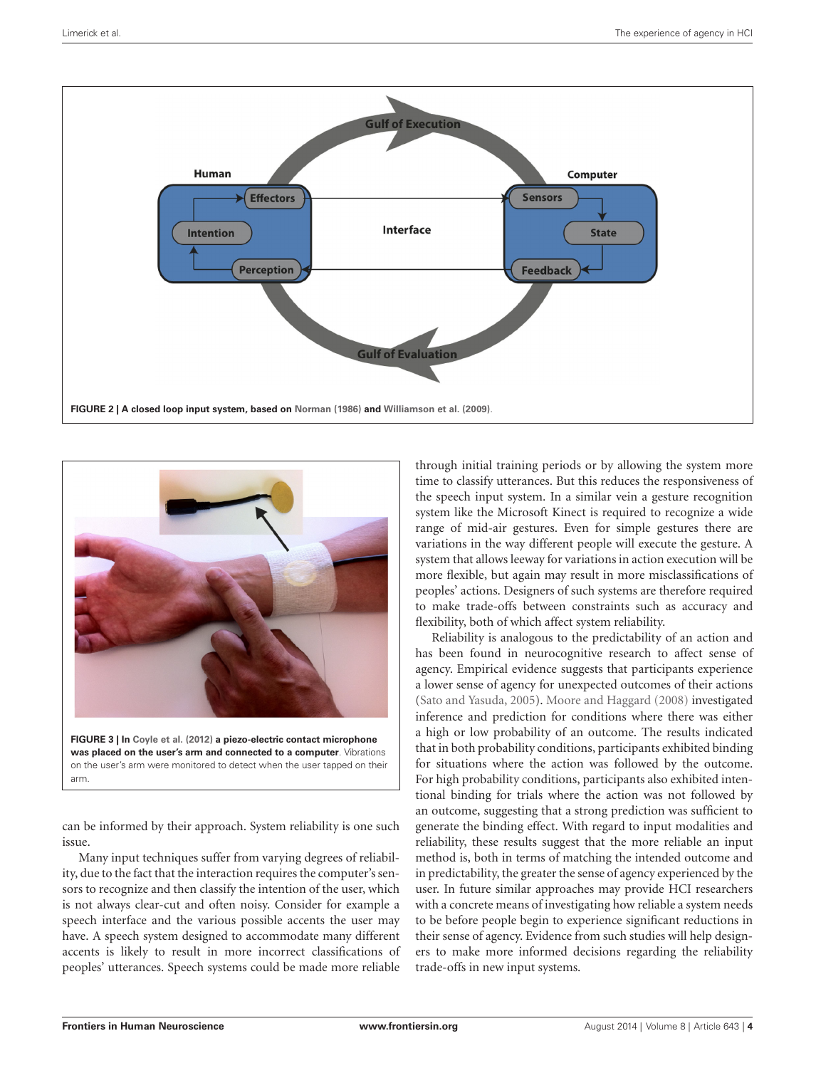

<span id="page-3-0"></span>

<span id="page-3-1"></span>can be informed by their approach. System reliability is one such issue.

Many input techniques suffer from varying degrees of reliability, due to the fact that the interaction requires the computer's sensors to recognize and then classify the intention of the user, which is not always clear-cut and often noisy. Consider for example a speech interface and the various possible accents the user may have. A speech system designed to accommodate many different accents is likely to result in more incorrect classifications of peoples' utterances. Speech systems could be made more reliable

through initial training periods or by allowing the system more time to classify utterances. But this reduces the responsiveness of the speech input system. In a similar vein a gesture recognition system like the Microsoft Kinect is required to recognize a wide range of mid-air gestures. Even for simple gestures there are variations in the way different people will execute the gesture. A system that allows leeway for variations in action execution will be more flexible, but again may result in more misclassifications of peoples' actions. Designers of such systems are therefore required to make trade-offs between constraints such as accuracy and flexibility, both of which affect system reliability.

Reliability is analogous to the predictability of an action and has been found in neurocognitive research to affect sense of agency. Empirical evidence suggests that participants experience a lower sense of agency for unexpected outcomes of their actions [\(Sato and Yasuda,](#page-9-12) [2005\)](#page-9-12). [Moore and Haggard](#page-9-13) [\(2008\)](#page-9-13) investigated inference and prediction for conditions where there was either a high or low probability of an outcome. The results indicated that in both probability conditions, participants exhibited binding for situations where the action was followed by the outcome. For high probability conditions, participants also exhibited intentional binding for trials where the action was not followed by an outcome, suggesting that a strong prediction was sufficient to generate the binding effect. With regard to input modalities and reliability, these results suggest that the more reliable an input method is, both in terms of matching the intended outcome and in predictability, the greater the sense of agency experienced by the user. In future similar approaches may provide HCI researchers with a concrete means of investigating how reliable a system needs to be before people begin to experience significant reductions in their sense of agency. Evidence from such studies will help designers to make more informed decisions regarding the reliability trade-offs in new input systems.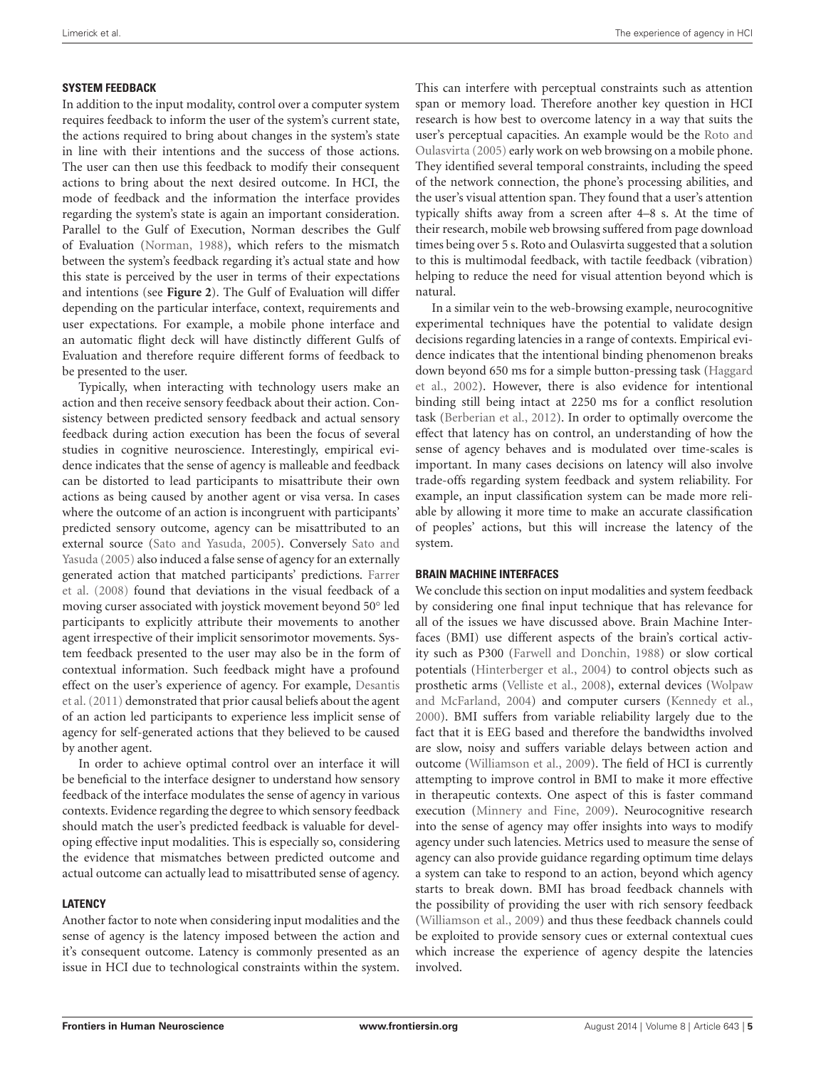### **SYSTEM FEEDBACK**

In addition to the input modality, control over a computer system requires feedback to inform the user of the system's current state, the actions required to bring about changes in the system's state in line with their intentions and the success of those actions. The user can then use this feedback to modify their consequent actions to bring about the next desired outcome. In HCI, the mode of feedback and the information the interface provides regarding the system's state is again an important consideration. Parallel to the Gulf of Execution, Norman describes the Gulf of Evaluation [\(Norman,](#page-9-14) [1988\)](#page-9-14), which refers to the mismatch between the system's feedback regarding it's actual state and how this state is perceived by the user in terms of their expectations and intentions (see **[Figure 2](#page-3-0)**). The Gulf of Evaluation will differ depending on the particular interface, context, requirements and user expectations. For example, a mobile phone interface and an automatic flight deck will have distinctly different Gulfs of Evaluation and therefore require different forms of feedback to be presented to the user.

Typically, when interacting with technology users make an action and then receive sensory feedback about their action. Consistency between predicted sensory feedback and actual sensory feedback during action execution has been the focus of several studies in cognitive neuroscience. Interestingly, empirical evidence indicates that the sense of agency is malleable and feedback can be distorted to lead participants to misattribute their own actions as being caused by another agent or visa versa. In cases where the outcome of an action is incongruent with participants' predicted sensory outcome, agency can be misattributed to an external source [\(Sato and Yasuda,](#page-9-12) [2005\)](#page-9-12). Conversely [Sato and](#page-9-12) [Yasuda](#page-9-12) [\(2005\)](#page-9-12) also induced a false sense of agency for an externally generated action that matched participants' predictions. [Farrer](#page-8-14) [et al.](#page-8-14) [\(2008\)](#page-8-14) found that deviations in the visual feedback of a moving curser associated with joystick movement beyond 50◦ led participants to explicitly attribute their movements to another agent irrespective of their implicit sensorimotor movements. System feedback presented to the user may also be in the form of contextual information. Such feedback might have a profound effect on the user's experience of agency. For example, [Desantis](#page-8-2) [et al.\(2011\)](#page-8-2) demonstrated that prior causal beliefs about the agent of an action led participants to experience less implicit sense of agency for self-generated actions that they believed to be caused by another agent.

In order to achieve optimal control over an interface it will be beneficial to the interface designer to understand how sensory feedback of the interface modulates the sense of agency in various contexts. Evidence regarding the degree to which sensory feedback should match the user's predicted feedback is valuable for developing effective input modalities. This is especially so, considering the evidence that mismatches between predicted outcome and actual outcome can actually lead to misattributed sense of agency.

### **LATENCY**

Another factor to note when considering input modalities and the sense of agency is the latency imposed between the action and it's consequent outcome. Latency is commonly presented as an issue in HCI due to technological constraints within the system.

This can interfere with perceptual constraints such as attention span or memory load. Therefore another key question in HCI research is how best to overcome latency in a way that suits the user's perceptual capacities. An example would be the [Roto and](#page-9-15) [Oulasvirta](#page-9-15) [\(2005\)](#page-9-15) early work on web browsing on a mobile phone. They identified several temporal constraints, including the speed of the network connection, the phone's processing abilities, and the user's visual attention span. They found that a user's attention typically shifts away from a screen after 4–8 s. At the time of their research, mobile web browsing suffered from page download times being over 5 s. Roto and Oulasvirta suggested that a solution to this is multimodal feedback, with tactile feedback (vibration) helping to reduce the need for visual attention beyond which is natural.

In a similar vein to the web-browsing example, neurocognitive experimental techniques have the potential to validate design decisions regarding latencies in a range of contexts. Empirical evidence indicates that the intentional binding phenomenon breaks down beyond 650 ms for a simple button-pressing task [\(Haggard](#page-8-8) [et al.,](#page-8-8) [2002\)](#page-8-8). However, there is also evidence for intentional binding still being intact at 2250 ms for a conflict resolution task [\(Berberian et al.,](#page-8-15) [2012\)](#page-8-15). In order to optimally overcome the effect that latency has on control, an understanding of how the sense of agency behaves and is modulated over time-scales is important. In many cases decisions on latency will also involve trade-offs regarding system feedback and system reliability. For example, an input classification system can be made more reliable by allowing it more time to make an accurate classification of peoples' actions, but this will increase the latency of the system.

#### **BRAIN MACHINE INTERFACES**

We conclude this section on input modalities and system feedback by considering one final input technique that has relevance for all of the issues we have discussed above. Brain Machine Interfaces (BMI) use different aspects of the brain's cortical activity such as P300 [\(Farwell and Donchin,](#page-8-16) [1988\)](#page-8-16) or slow cortical potentials [\(Hinterberger et al.,](#page-8-17) [2004\)](#page-8-17) to control objects such as prosthetic arms [\(Velliste et al.,](#page-9-16) [2008\)](#page-9-16), external devices [\(Wolpaw](#page-9-17) [and McFarland,](#page-9-17) [2004\)](#page-9-17) and computer cursers [\(Kennedy et al.,](#page-8-18) [2000\)](#page-8-18). BMI suffers from variable reliability largely due to the fact that it is EEG based and therefore the bandwidths involved are slow, noisy and suffers variable delays between action and outcome [\(Williamson et al.,](#page-9-10) [2009\)](#page-9-10). The field of HCI is currently attempting to improve control in BMI to make it more effective in therapeutic contexts. One aspect of this is faster command execution [\(Minnery and Fine,](#page-9-18) [2009\)](#page-9-18). Neurocognitive research into the sense of agency may offer insights into ways to modify agency under such latencies. Metrics used to measure the sense of agency can also provide guidance regarding optimum time delays a system can take to respond to an action, beyond which agency starts to break down. BMI has broad feedback channels with the possibility of providing the user with rich sensory feedback [\(Williamson et al.,](#page-9-10) [2009\)](#page-9-10) and thus these feedback channels could be exploited to provide sensory cues or external contextual cues which increase the experience of agency despite the latencies involved.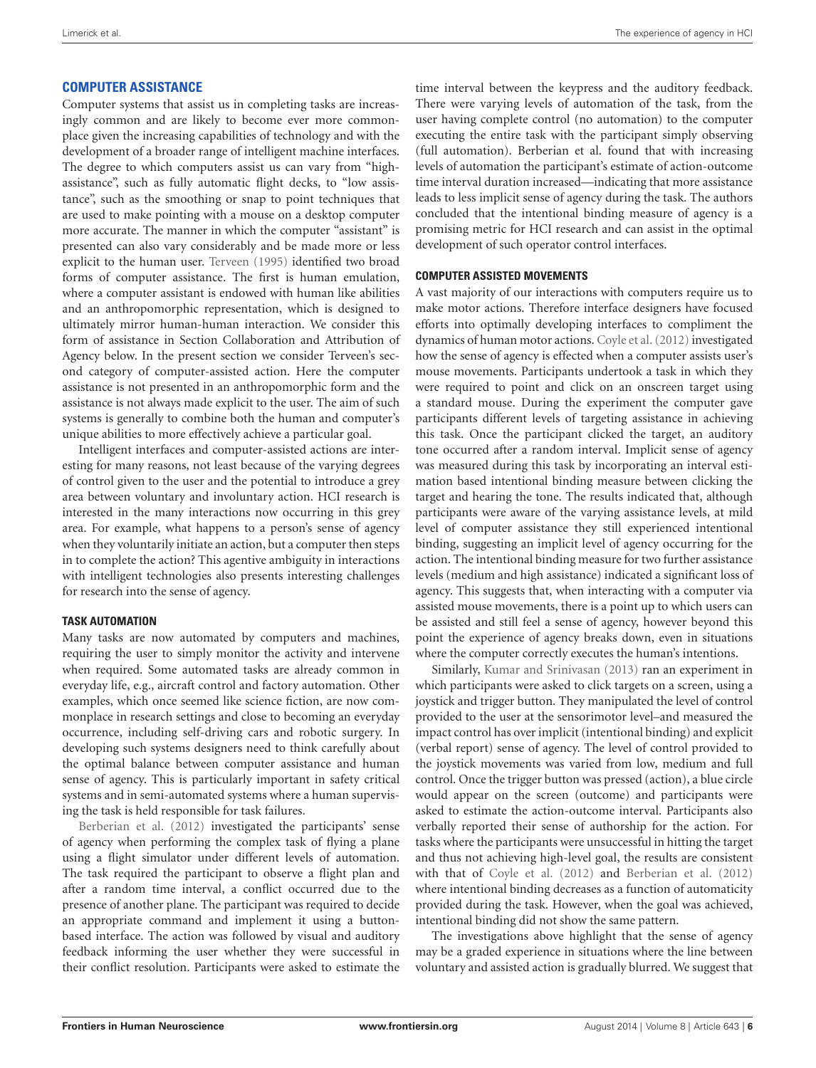### **COMPUTER ASSISTANCE**

Computer systems that assist us in completing tasks are increasingly common and are likely to become ever more commonplace given the increasing capabilities of technology and with the development of a broader range of intelligent machine interfaces. The degree to which computers assist us can vary from "highassistance", such as fully automatic flight decks, to "low assistance", such as the smoothing or snap to point techniques that are used to make pointing with a mouse on a desktop computer more accurate. The manner in which the computer "assistant" is presented can also vary considerably and be made more or less explicit to the human user. [Terveen](#page-9-19) [\(1995\)](#page-9-19) identified two broad forms of computer assistance. The first is human emulation, where a computer assistant is endowed with human like abilities and an anthropomorphic representation, which is designed to ultimately mirror human-human interaction. We consider this form of assistance in Section Collaboration and Attribution of Agency below. In the present section we consider Terveen's second category of computer-assisted action. Here the computer assistance is not presented in an anthropomorphic form and the assistance is not always made explicit to the user. The aim of such systems is generally to combine both the human and computer's unique abilities to more effectively achieve a particular goal.

Intelligent interfaces and computer-assisted actions are interesting for many reasons, not least because of the varying degrees of control given to the user and the potential to introduce a grey area between voluntary and involuntary action. HCI research is interested in the many interactions now occurring in this grey area. For example, what happens to a person's sense of agency when they voluntarily initiate an action, but a computer then steps in to complete the action? This agentive ambiguity in interactions with intelligent technologies also presents interesting challenges for research into the sense of agency.

### **TASK AUTOMATION**

Many tasks are now automated by computers and machines, requiring the user to simply monitor the activity and intervene when required. Some automated tasks are already common in everyday life, e.g., aircraft control and factory automation. Other examples, which once seemed like science fiction, are now commonplace in research settings and close to becoming an everyday occurrence, including self-driving cars and robotic surgery. In developing such systems designers need to think carefully about the optimal balance between computer assistance and human sense of agency. This is particularly important in safety critical systems and in semi-automated systems where a human supervising the task is held responsible for task failures.

[Berberian et al.](#page-8-15) [\(2012\)](#page-8-15) investigated the participants' sense of agency when performing the complex task of flying a plane using a flight simulator under different levels of automation. The task required the participant to observe a flight plan and after a random time interval, a conflict occurred due to the presence of another plane. The participant was required to decide an appropriate command and implement it using a buttonbased interface. The action was followed by visual and auditory feedback informing the user whether they were successful in their conflict resolution. Participants were asked to estimate the

time interval between the keypress and the auditory feedback. There were varying levels of automation of the task, from the user having complete control (no automation) to the computer executing the entire task with the participant simply observing (full automation). Berberian et al. found that with increasing levels of automation the participant's estimate of action-outcome time interval duration increased—indicating that more assistance leads to less implicit sense of agency during the task. The authors concluded that the intentional binding measure of agency is a promising metric for HCI research and can assist in the optimal development of such operator control interfaces.

### **COMPUTER ASSISTED MOVEMENTS**

A vast majority of our interactions with computers require us to make motor actions. Therefore interface designers have focused efforts into optimally developing interfaces to compliment the dynamics of human motor actions. Coyle et al. (2012) investigated how the sense of agency is effected when a computer assists user's mouse movements. Participants undertook a task in which they were required to point and click on an onscreen target using a standard mouse. During the experiment the computer gave participants different levels of targeting assistance in achieving this task. Once the participant clicked the target, an auditory tone occurred after a random interval. Implicit sense of agency was measured during this task by incorporating an interval estimation based intentional binding measure between clicking the target and hearing the tone. The results indicated that, although participants were aware of the varying assistance levels, at mild level of computer assistance they still experienced intentional binding, suggesting an implicit level of agency occurring for the action. The intentional binding measure for two further assistance levels (medium and high assistance) indicated a significant loss of agency. This suggests that, when interacting with a computer via assisted mouse movements, there is a point up to which users can be assisted and still feel a sense of agency, however beyond this point the experience of agency breaks down, even in situations where the computer correctly executes the human's intentions.

Similarly, [Kumar and Srinivasan](#page-8-19) [\(2013\)](#page-8-19) ran an experiment in which participants were asked to click targets on a screen, using a joystick and trigger button. They manipulated the level of control provided to the user at the sensorimotor level–and measured the impact control has over implicit (intentional binding) and explicit (verbal report) sense of agency. The level of control provided to the joystick movements was varied from low, medium and full control. Once the trigger button was pressed (action), a blue circle would appear on the screen (outcome) and participants were asked to estimate the action-outcome interval. Participants also verbally reported their sense of authorship for the action. For tasks where the participants were unsuccessful in hitting the target and thus not achieving high-level goal, the results are consistent with that of [Coyle et al.](#page-8-12) [\(2012\)](#page-8-12) and [Berberian et al.](#page-8-15) [\(2012\)](#page-8-15) where intentional binding decreases as a function of automaticity provided during the task. However, when the goal was achieved, intentional binding did not show the same pattern.

The investigations above highlight that the sense of agency may be a graded experience in situations where the line between voluntary and assisted action is gradually blurred. We suggest that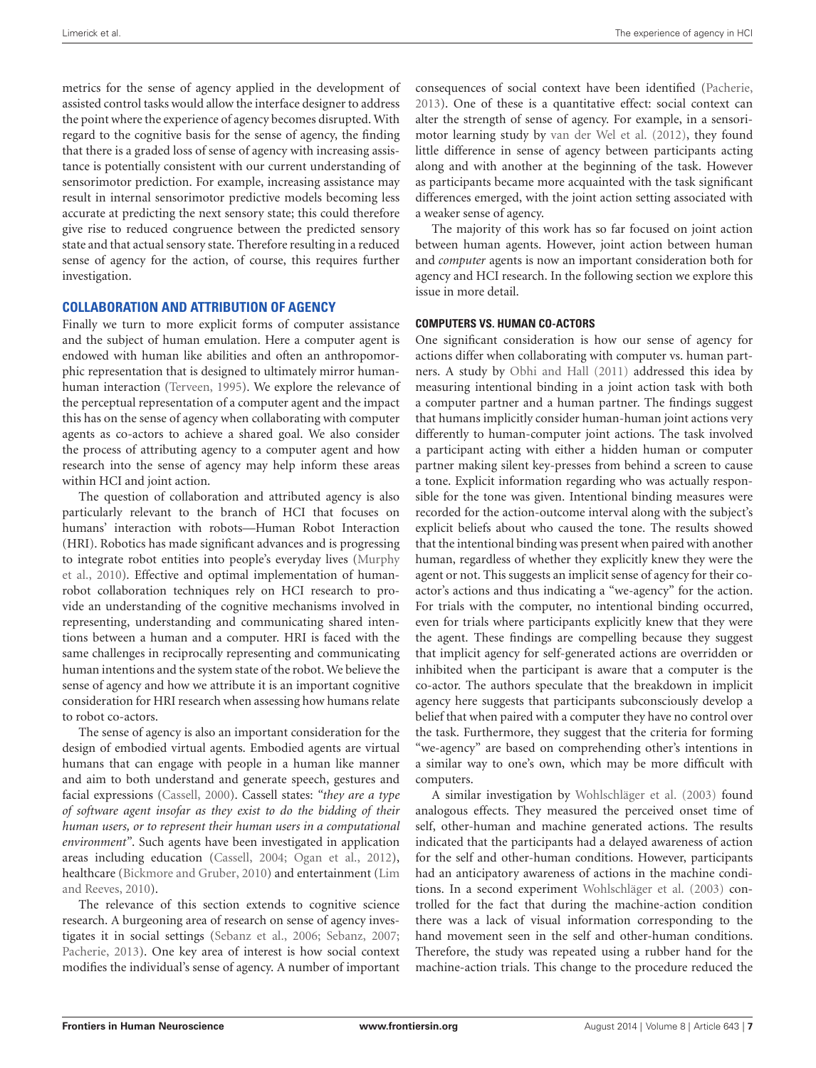metrics for the sense of agency applied in the development of assisted control tasks would allow the interface designer to address the point where the experience of agency becomes disrupted. With regard to the cognitive basis for the sense of agency, the finding that there is a graded loss of sense of agency with increasing assistance is potentially consistent with our current understanding of sensorimotor prediction. For example, increasing assistance may result in internal sensorimotor predictive models becoming less accurate at predicting the next sensory state; this could therefore give rise to reduced congruence between the predicted sensory state and that actual sensory state. Therefore resulting in a reduced sense of agency for the action, of course, this requires further investigation.

### **COLLABORATION AND ATTRIBUTION OF AGENCY**

Finally we turn to more explicit forms of computer assistance and the subject of human emulation. Here a computer agent is endowed with human like abilities and often an anthropomorphic representation that is designed to ultimately mirror humanhuman interaction [\(Terveen,](#page-9-19) [1995\)](#page-9-19). We explore the relevance of the perceptual representation of a computer agent and the impact this has on the sense of agency when collaborating with computer agents as co-actors to achieve a shared goal. We also consider the process of attributing agency to a computer agent and how research into the sense of agency may help inform these areas within HCI and joint action.

The question of collaboration and attributed agency is also particularly relevant to the branch of HCI that focuses on humans' interaction with robots—Human Robot Interaction (HRI). Robotics has made significant advances and is progressing to integrate robot entities into people's everyday lives [\(Murphy](#page-9-20) [et al.,](#page-9-20) [2010\)](#page-9-20). Effective and optimal implementation of humanrobot collaboration techniques rely on HCI research to provide an understanding of the cognitive mechanisms involved in representing, understanding and communicating shared intentions between a human and a computer. HRI is faced with the same challenges in reciprocally representing and communicating human intentions and the system state of the robot. We believe the sense of agency and how we attribute it is an important cognitive consideration for HRI research when assessing how humans relate to robot co-actors.

The sense of agency is also an important consideration for the design of embodied virtual agents. Embodied agents are virtual humans that can engage with people in a human like manner and aim to both understand and generate speech, gestures and facial expressions [\(Cassell,](#page-8-20) [2000\)](#page-8-20). Cassell states: *"they are a type of software agent insofar as they exist to do the bidding of their human users, or to represent their human users in a computational environment"*. Such agents have been investigated in application areas including education [\(Cassell,](#page-8-21) [2004;](#page-8-21) [Ogan et al.,](#page-9-21) [2012\)](#page-9-21), healthcare [\(Bickmore and Gruber,](#page-8-22) [2010\)](#page-8-22) and entertainment [\(Lim](#page-9-22) [and Reeves,](#page-9-22) [2010\)](#page-9-22).

The relevance of this section extends to cognitive science research. A burgeoning area of research on sense of agency investigates it in social settings [\(Sebanz et al.,](#page-9-23) [2006;](#page-9-23) [Sebanz,](#page-9-24) [2007;](#page-9-24) [Pacherie,](#page-9-25) [2013\)](#page-9-25). One key area of interest is how social context modifies the individual's sense of agency. A number of important

consequences of social context have been identified [\(Pacherie,](#page-9-25) [2013\)](#page-9-25). One of these is a quantitative effect: social context can alter the strength of sense of agency. For example, in a sensorimotor learning study by [van der Wel et al.](#page-9-26) [\(2012\)](#page-9-26), they found little difference in sense of agency between participants acting along and with another at the beginning of the task. However as participants became more acquainted with the task significant differences emerged, with the joint action setting associated with a weaker sense of agency.

The majority of this work has so far focused on joint action between human agents. However, joint action between human and *computer* agents is now an important consideration both for agency and HCI research. In the following section we explore this issue in more detail.

#### **COMPUTERS VS. HUMAN CO-ACTORS**

One significant consideration is how our sense of agency for actions differ when collaborating with computer vs. human partners. A study by [Obhi and Hall](#page-9-27) [\(2011\)](#page-9-27) addressed this idea by measuring intentional binding in a joint action task with both a computer partner and a human partner. The findings suggest that humans implicitly consider human-human joint actions very differently to human-computer joint actions. The task involved a participant acting with either a hidden human or computer partner making silent key-presses from behind a screen to cause a tone. Explicit information regarding who was actually responsible for the tone was given. Intentional binding measures were recorded for the action-outcome interval along with the subject's explicit beliefs about who caused the tone. The results showed that the intentional binding was present when paired with another human, regardless of whether they explicitly knew they were the agent or not. This suggests an implicit sense of agency for their coactor's actions and thus indicating a "we-agency" for the action. For trials with the computer, no intentional binding occurred, even for trials where participants explicitly knew that they were the agent. These findings are compelling because they suggest that implicit agency for self-generated actions are overridden or inhibited when the participant is aware that a computer is the co-actor. The authors speculate that the breakdown in implicit agency here suggests that participants subconsciously develop a belief that when paired with a computer they have no control over the task. Furthermore, they suggest that the criteria for forming "we-agency" are based on comprehending other's intentions in a similar way to one's own, which may be more difficult with computers.

A similar investigation by [Wohlschläger et al.](#page-9-8) [\(2003\)](#page-9-8) found analogous effects. They measured the perceived onset time of self, other-human and machine generated actions. The results indicated that the participants had a delayed awareness of action for the self and other-human conditions. However, participants had an anticipatory awareness of actions in the machine conditions. In a second experiment [Wohlschläger et al.](#page-9-8) [\(2003\)](#page-9-8) controlled for the fact that during the machine-action condition there was a lack of visual information corresponding to the hand movement seen in the self and other-human conditions. Therefore, the study was repeated using a rubber hand for the machine-action trials. This change to the procedure reduced the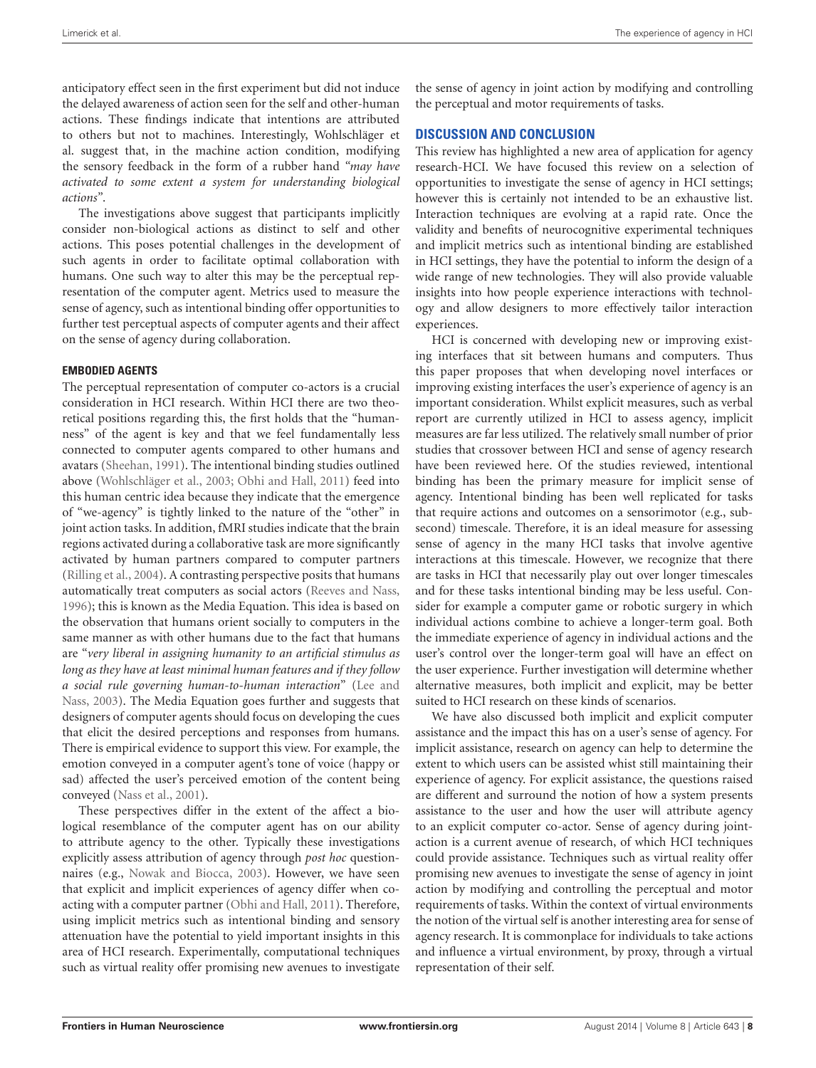anticipatory effect seen in the first experiment but did not induce the delayed awareness of action seen for the self and other-human actions. These findings indicate that intentions are attributed to others but not to machines. Interestingly, Wohlschläger et al. suggest that, in the machine action condition, modifying the sensory feedback in the form of a rubber hand *"may have activated to some extent a system for understanding biological actions"*.

The investigations above suggest that participants implicitly consider non-biological actions as distinct to self and other actions. This poses potential challenges in the development of such agents in order to facilitate optimal collaboration with humans. One such way to alter this may be the perceptual representation of the computer agent. Metrics used to measure the sense of agency, such as intentional binding offer opportunities to further test perceptual aspects of computer agents and their affect on the sense of agency during collaboration.

#### **EMBODIED AGENTS**

The perceptual representation of computer co-actors is a crucial consideration in HCI research. Within HCI there are two theoretical positions regarding this, the first holds that the "humanness" of the agent is key and that we feel fundamentally less connected to computer agents compared to other humans and avatars [\(Sheehan,](#page-9-28) [1991\)](#page-9-28). The intentional binding studies outlined above [\(Wohlschläger et al.,](#page-9-8) [2003;](#page-9-8) [Obhi and Hall,](#page-9-27) [2011\)](#page-9-27) feed into this human centric idea because they indicate that the emergence of "we-agency" is tightly linked to the nature of the "other" in joint action tasks. In addition, fMRI studies indicate that the brain regions activated during a collaborative task are more significantly activated by human partners compared to computer partners [\(Rilling et al.,](#page-9-29) [2004\)](#page-9-29). A contrasting perspective posits that humans automatically treat computers as social actors [\(Reeves and Nass,](#page-9-30) [1996\)](#page-9-30); this is known as the Media Equation. This idea is based on the observation that humans orient socially to computers in the same manner as with other humans due to the fact that humans are "*very liberal in assigning humanity to an artificial stimulus as long as they have at least minimal human features and if they follow a social rule governing human-to-human interaction*" [\(Lee and](#page-9-31) [Nass,](#page-9-31) [2003\)](#page-9-31). The Media Equation goes further and suggests that designers of computer agents should focus on developing the cues that elicit the desired perceptions and responses from humans. There is empirical evidence to support this view. For example, the emotion conveyed in a computer agent's tone of voice (happy or sad) affected the user's perceived emotion of the content being conveyed [\(Nass et al.,](#page-9-32) [2001\)](#page-9-32).

These perspectives differ in the extent of the affect a biological resemblance of the computer agent has on our ability to attribute agency to the other. Typically these investigations explicitly assess attribution of agency through *post hoc* questionnaires (e.g., [Nowak and Biocca,](#page-9-33) [2003\)](#page-9-33). However, we have seen that explicit and implicit experiences of agency differ when coacting with a computer partner [\(Obhi and Hall,](#page-9-27) [2011\)](#page-9-27). Therefore, using implicit metrics such as intentional binding and sensory attenuation have the potential to yield important insights in this area of HCI research. Experimentally, computational techniques such as virtual reality offer promising new avenues to investigate the sense of agency in joint action by modifying and controlling the perceptual and motor requirements of tasks.

### **DISCUSSION AND CONCLUSION**

This review has highlighted a new area of application for agency research-HCI. We have focused this review on a selection of opportunities to investigate the sense of agency in HCI settings; however this is certainly not intended to be an exhaustive list. Interaction techniques are evolving at a rapid rate. Once the validity and benefits of neurocognitive experimental techniques and implicit metrics such as intentional binding are established in HCI settings, they have the potential to inform the design of a wide range of new technologies. They will also provide valuable insights into how people experience interactions with technology and allow designers to more effectively tailor interaction experiences.

HCI is concerned with developing new or improving existing interfaces that sit between humans and computers. Thus this paper proposes that when developing novel interfaces or improving existing interfaces the user's experience of agency is an important consideration. Whilst explicit measures, such as verbal report are currently utilized in HCI to assess agency, implicit measures are far less utilized. The relatively small number of prior studies that crossover between HCI and sense of agency research have been reviewed here. Of the studies reviewed, intentional binding has been the primary measure for implicit sense of agency. Intentional binding has been well replicated for tasks that require actions and outcomes on a sensorimotor (e.g., subsecond) timescale. Therefore, it is an ideal measure for assessing sense of agency in the many HCI tasks that involve agentive interactions at this timescale. However, we recognize that there are tasks in HCI that necessarily play out over longer timescales and for these tasks intentional binding may be less useful. Consider for example a computer game or robotic surgery in which individual actions combine to achieve a longer-term goal. Both the immediate experience of agency in individual actions and the user's control over the longer-term goal will have an effect on the user experience. Further investigation will determine whether alternative measures, both implicit and explicit, may be better suited to HCI research on these kinds of scenarios.

We have also discussed both implicit and explicit computer assistance and the impact this has on a user's sense of agency. For implicit assistance, research on agency can help to determine the extent to which users can be assisted whist still maintaining their experience of agency. For explicit assistance, the questions raised are different and surround the notion of how a system presents assistance to the user and how the user will attribute agency to an explicit computer co-actor. Sense of agency during jointaction is a current avenue of research, of which HCI techniques could provide assistance. Techniques such as virtual reality offer promising new avenues to investigate the sense of agency in joint action by modifying and controlling the perceptual and motor requirements of tasks. Within the context of virtual environments the notion of the virtual self is another interesting area for sense of agency research. It is commonplace for individuals to take actions and influence a virtual environment, by proxy, through a virtual representation of their self.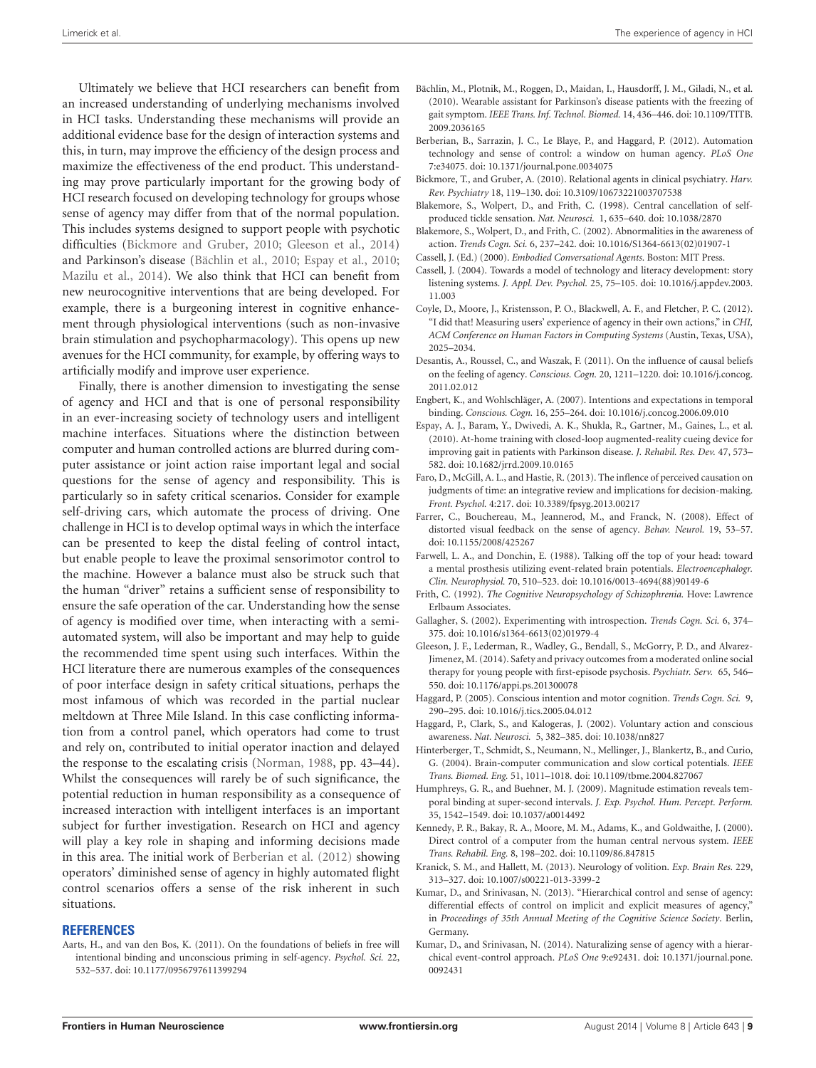Ultimately we believe that HCI researchers can benefit from an increased understanding of underlying mechanisms involved in HCI tasks. Understanding these mechanisms will provide an additional evidence base for the design of interaction systems and this, in turn, may improve the efficiency of the design process and maximize the effectiveness of the end product. This understanding may prove particularly important for the growing body of HCI research focused on developing technology for groups whose sense of agency may differ from that of the normal population. This includes systems designed to support people with psychotic difficulties [\(Bickmore and Gruber,](#page-8-22) [2010;](#page-8-22) [Gleeson et al.,](#page-8-23) [2014\)](#page-8-23) and Parkinson's disease [\(Bächlin et al.,](#page-8-24) [2010;](#page-8-24) [Espay et al.,](#page-8-25) [2010;](#page-8-25) [Mazilu et al.,](#page-9-34) [2014\)](#page-9-34). We also think that HCI can benefit from new neurocognitive interventions that are being developed. For example, there is a burgeoning interest in cognitive enhancement through physiological interventions (such as non-invasive brain stimulation and psychopharmacology). This opens up new avenues for the HCI community, for example, by offering ways to artificially modify and improve user experience.

Finally, there is another dimension to investigating the sense of agency and HCI and that is one of personal responsibility in an ever-increasing society of technology users and intelligent machine interfaces. Situations where the distinction between computer and human controlled actions are blurred during computer assistance or joint action raise important legal and social questions for the sense of agency and responsibility. This is particularly so in safety critical scenarios. Consider for example self-driving cars, which automate the process of driving. One challenge in HCI is to develop optimal ways in which the interface can be presented to keep the distal feeling of control intact, but enable people to leave the proximal sensorimotor control to the machine. However a balance must also be struck such that the human "driver" retains a sufficient sense of responsibility to ensure the safe operation of the car. Understanding how the sense of agency is modified over time, when interacting with a semiautomated system, will also be important and may help to guide the recommended time spent using such interfaces. Within the HCI literature there are numerous examples of the consequences of poor interface design in safety critical situations, perhaps the most infamous of which was recorded in the partial nuclear meltdown at Three Mile Island. In this case conflicting information from a control panel, which operators had come to trust and rely on, contributed to initial operator inaction and delayed the response to the escalating crisis [\(Norman,](#page-9-14) [1988,](#page-9-14) pp. 43–44). Whilst the consequences will rarely be of such significance, the potential reduction in human responsibility as a consequence of increased interaction with intelligent interfaces is an important subject for further investigation. Research on HCI and agency will play a key role in shaping and informing decisions made in this area. The initial work of [Berberian et al.](#page-8-15) [\(2012\)](#page-8-15) showing operators' diminished sense of agency in highly automated flight control scenarios offers a sense of the risk inherent in such situations.

#### **REFERENCES**

<span id="page-8-10"></span>Aarts, H., and van den Bos, K. (2011). On the foundations of beliefs in free will intentional binding and unconscious priming in self-agency. *Psychol. Sci.* 22, 532–537. doi: 10.1177/0956797611399294

- <span id="page-8-24"></span>Bächlin, M., Plotnik, M., Roggen, D., Maidan, I., Hausdorff, J. M., Giladi, N., et al. (2010). Wearable assistant for Parkinson's disease patients with the freezing of gait symptom. *IEEE Trans. Inf. Technol. Biomed.* 14, 436–446. doi: 10.1109/TITB. 2009.2036165
- <span id="page-8-15"></span>Berberian, B., Sarrazin, J. C., Le Blaye, P., and Haggard, P. (2012). Automation technology and sense of control: a window on human agency. *PLoS One* 7:e34075. doi: 10.1371/journal.pone.0034075
- <span id="page-8-22"></span>Bickmore, T., and Gruber, A. (2010). Relational agents in clinical psychiatry. *Harv. Rev. Psychiatry* 18, 119–130. doi: 10.3109/10673221003707538
- <span id="page-8-7"></span>Blakemore, S., Wolpert, D., and Frith, C. (1998). Central cancellation of selfproduced tickle sensation. *Nat. Neurosci.* 1, 635–640. doi: 10.1038/2870
- <span id="page-8-4"></span>Blakemore, S., Wolpert, D., and Frith, C. (2002). Abnormalities in the awareness of action. *Trends Cogn. Sci.* 6, 237–242. doi: 10.1016/S1364-6613(02)01907-1
- <span id="page-8-20"></span>Cassell, J. (Ed.) (2000). *Embodied Conversational Agents*. Boston: MIT Press.
- <span id="page-8-21"></span>Cassell, J. (2004). Towards a model of technology and literacy development: story listening systems. *J. Appl. Dev. Psychol.* 25, 75–105. doi: 10.1016/j.appdev.2003. 11.003
- <span id="page-8-12"></span>Coyle, D., Moore, J., Kristensson, P. O., Blackwell, A. F., and Fletcher, P. C. (2012). "I did that! Measuring users' experience of agency in their own actions," in *CHI, ACM Conference on Human Factors in Computing Systems* (Austin, Texas, USA), 2025–2034.
- <span id="page-8-2"></span>Desantis, A., Roussel, C., and Waszak, F. (2011). On the influence of causal beliefs on the feeling of agency. *Conscious. Cogn.* 20, 1211–1220. doi: 10.1016/j.concog. 2011.02.012
- <span id="page-8-9"></span>Engbert, K., and Wohlschläger, A. (2007). Intentions and expectations in temporal binding. *Conscious. Cogn.* 16, 255–264. doi: 10.1016/j.concog.2006.09.010
- <span id="page-8-25"></span>Espay, A. J., Baram, Y., Dwivedi, A. K., Shukla, R., Gartner, M., Gaines, L., et al. (2010). At-home training with closed-loop augmented-reality cueing device for improving gait in patients with Parkinson disease. *J. Rehabil. Res. Dev.* 47, 573– 582. doi: 10.1682/jrrd.2009.10.0165
- <span id="page-8-13"></span>Faro, D., McGill, A. L., and Hastie, R. (2013). The inflence of perceived causation on judgments of time: an integrative review and implications for decision-making. *Front. Psychol.* 4:217. doi: 10.3389/fpsyg.2013.00217
- <span id="page-8-14"></span>Farrer, C., Bouchereau, M., Jeannerod, M., and Franck, N. (2008). Effect of distorted visual feedback on the sense of agency. *Behav. Neurol.* 19, 53–57. doi: 10.1155/2008/425267
- <span id="page-8-16"></span>Farwell, L. A., and Donchin, E. (1988). Talking off the top of your head: toward a mental prosthesis utilizing event-related brain potentials. *Electroencephalogr. Clin. Neurophysiol.* 70, 510–523. doi: 10.1016/0013-4694(88)90149-6
- <span id="page-8-0"></span>Frith, C. (1992). *The Cognitive Neuropsychology of Schizophrenia.* Hove: Lawrence Erlbaum Associates.
- <span id="page-8-1"></span>Gallagher, S. (2002). Experimenting with introspection. *Trends Cogn. Sci.* 6, 374– 375. doi: 10.1016/s1364-6613(02)01979-4
- <span id="page-8-23"></span>Gleeson, J. F., Lederman, R., Wadley, G., Bendall, S., McGorry, P. D., and Alvarez-Jimenez, M. (2014). Safety and privacy outcomes from a moderated online social therapy for young people with first-episode psychosis. *Psychiatr. Serv.* 65, 546– 550. doi: 10.1176/appi.ps.201300078
- <span id="page-8-5"></span>Haggard, P. (2005). Conscious intention and motor cognition. *Trends Cogn. Sci.* 9, 290–295. doi: 10.1016/j.tics.2005.04.012
- <span id="page-8-8"></span>Haggard, P., Clark, S., and Kalogeras, J. (2002). Voluntary action and conscious awareness. *Nat. Neurosci.* 5, 382–385. doi: 10.1038/nn827
- <span id="page-8-17"></span>Hinterberger, T., Schmidt, S., Neumann, N., Mellinger, J., Blankertz, B., and Curio, G. (2004). Brain-computer communication and slow cortical potentials. *IEEE Trans. Biomed. Eng.* 51, 1011–1018. doi: 10.1109/tbme.2004.827067
- <span id="page-8-11"></span>Humphreys, G. R., and Buehner, M. J. (2009). Magnitude estimation reveals temporal binding at super-second intervals. *J. Exp. Psychol. Hum. Percept. Perform.* 35, 1542–1549. doi: 10.1037/a0014492
- <span id="page-8-18"></span>Kennedy, P. R., Bakay, R. A., Moore, M. M., Adams, K., and Goldwaithe, J. (2000). Direct control of a computer from the human central nervous system. *IEEE Trans. Rehabil. Eng.* 8, 198–202. doi: 10.1109/86.847815
- <span id="page-8-6"></span>Kranick, S. M., and Hallett, M. (2013). Neurology of volition. *Exp. Brain Res.* 229, 313–327. doi: 10.1007/s00221-013-3399-2
- <span id="page-8-19"></span>Kumar, D., and Srinivasan, N. (2013). "Hierarchical control and sense of agency: differential effects of control on implicit and explicit measures of agency," in *Proceedings of 35th Annual Meeting of the Cognitive Science Society*. Berlin, Germany.
- <span id="page-8-3"></span>Kumar, D., and Srinivasan, N. (2014). Naturalizing sense of agency with a hierarchical event-control approach. *PLoS One* 9:e92431. doi: 10.1371/journal.pone. 0092431